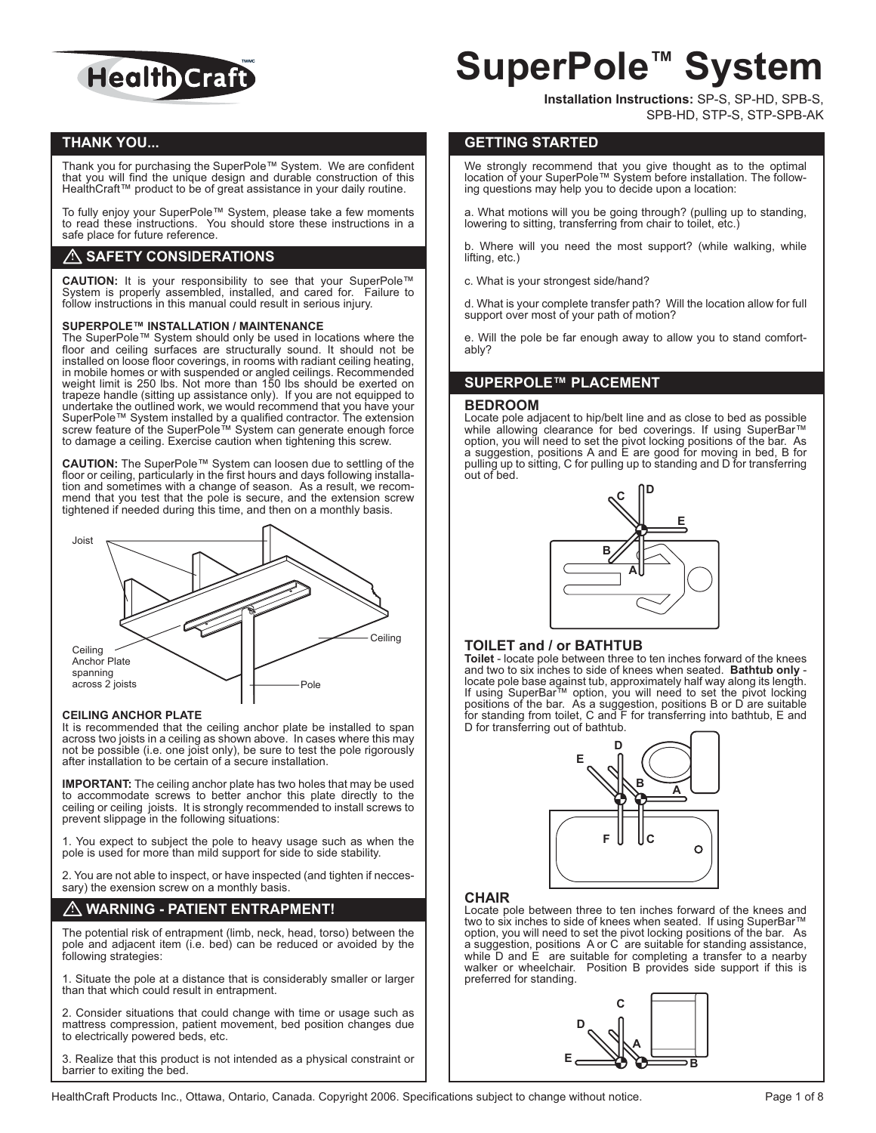

# **THANK YOU...**

Thank you for purchasing the SuperPole™ System. We are confident that you will find the unique design and durable construction of this HealthCraft™ product to be of great assistance in your daily routine.

To fully enjoy your SuperPole™ System, please take a few moments to read these instructions. You should store these instructions in a safe place for future reference.

# **SAFETY CONSIDERATIONS**

**CAUTION:** It is your responsibility to see that your SuperPole™ System is properly assembled, installed, and cared for. Failure to follow instructions in this manual could result in serious injury.

#### **SUPERPOLE™ INSTALLATION / MAINTENANCE**

The SuperPole™ System should only be used in locations where the floor and ceiling surfaces are structurally sound. It should not be installed on loose floor coverings, in rooms with radiant ceiling heating, in mobile homes or with suspended or angled ceilings. Recommended weight limit is 250 lbs. Not more than 150 lbs should be exerted on trapeze handle (sitting up assistance only). If you are not equipped to undertake the outlined work, we would recommend that you have your SuperPole™ System installed by a qualified contractor. The extension screw feature of the SuperPole™ System can generate enough force to damage a ceiling. Exercise caution when tightening this screw.

**CAUTION:** The SuperPole™ System can loosen due to settling of the floor or ceiling, particularly in the first hours and days following installation and sometimes with a change of season. As a result, we recommend that you test that the pole is secure, and the extension screw tightened if needed during this time, and then on a monthly basis.



#### **CEILING ANCHOR PLATE**

It is recommended that the ceiling anchor plate be installed to span across two joists in a ceiling as shown above. In cases where this may not be possible (i.e. one joist only), be sure to test the pole rigorously after installation to be certain of a secure installation.

 **IMPORTANT:** The ceiling anchor plate has two holes that may be used to accommodate screws to better anchor this plate directly to the ceiling or ceiling joists. It is strongly recommended to install screws to prevent slippage in the following situations:

1. You expect to subject the pole to heavy usage such as when the pole is used for more than mild support for side to side stability.

2. You are not able to inspect, or have inspected (and tighten if neccessary) the exension screw on a monthly basis.

# **WARNING - PATIENT ENTRAPMENT!**

The potential risk of entrapment (limb, neck, head, torso) between the pole and adjacent item (i.e. bed) can be reduced or avoided by the following strategies:

1. Situate the pole at a distance that is considerably smaller or larger than that which could result in entrapment.

2. Consider situations that could change with time or usage such as mattress compression, patient movement, bed position changes due to electrically powered beds, etc.

3. Realize that this product is not intended as a physical constraint or barrier to exiting the bed.

# **SuperPole™ System**

**Installation Instructions:** SP-S, SP-HD, SPB-S, SPB-HD, STP-S, STP-SPB-AK

# **GETTING STARTED**

We strongly recommend that you give thought as to the optimal location of your SuperPole™ System before installation. The following questions may help you to decide upon a location:

a. What motions will you be going through? (pulling up to standing, lowering to sitting, transferring from chair to toilet, etc.)

b. Where will you need the most support? (while walking, while lifting, etc.)

c. What is your strongest side/hand?

d. What is your complete transfer path? Will the location allow for full support over most of your path of motion?

e. Will the pole be far enough away to allow you to stand comfortably?

# **SUPERPOLE™ PLACEMENT**

#### **BEDROOM**

Locate pole adjacent to hip/belt line and as close to bed as possible while allowing clearance for bed coverings. If using SuperBar™ option, you will need to set the pivot locking positions of the bar. As a suggestion, positions A and E are good for moving in bed, B for pulling up to sitting, C for pulling up to standing and D for transferring out of bed.



### **TOILET and / or BATHTUB**

**Toilet** - locate pole between three to ten inches forward of the knees and two to six inches to side of knees when seated. **Bathtub only** locate pole base against tub, approximately half way along its length. If using SuperBar™ option, you will need to set the pivot locking positions of the bar. As a suggestion, positions B or D are suitable for standing from toilet, C and F for transferring into bathtub, E and D for transferring out of bathtub.



#### **CHAIR**

Locate pole between three to ten inches forward of the knees and two to six inches to side of knees when seated. If using SuperBar™ option, you will need to set the pivot locking positions of the bar. As a suggestion, positions A or C are suitable for standing assistance, while D and E are suitable for completing a transfer to a nearby walker or wheelchair. Position B provides side support if this is preferred for standing.

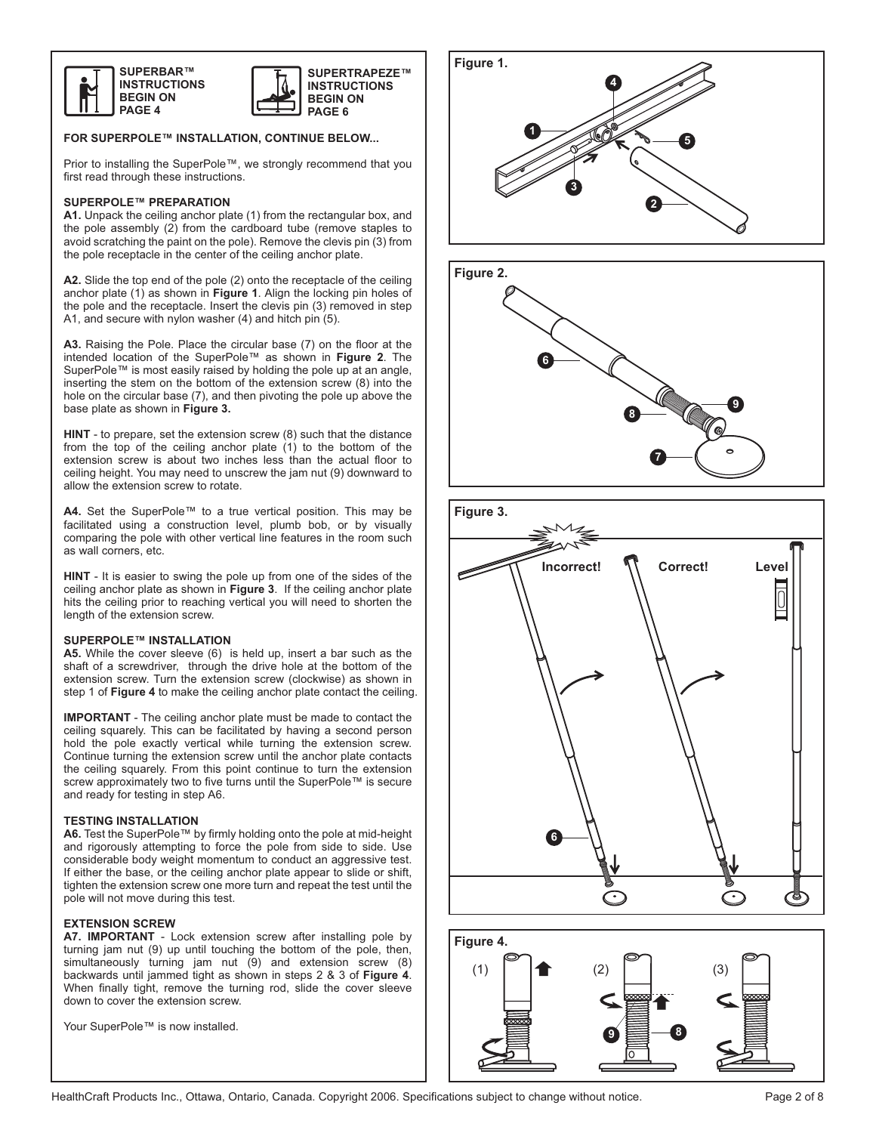



### **FOR SUPERPOLE™ INSTALLATION, CONTINUE BELOW...**

Prior to installing the SuperPole™, we strongly recommend that you first read through these instructions.

#### **SUPERPOLE™ PREPARATION**

**A1.** Unpack the ceiling anchor plate (1) from the rectangular box, and the pole assembly (2) from the cardboard tube (remove staples to avoid scratching the paint on the pole). Remove the clevis pin (3) from the pole receptacle in the center of the ceiling anchor plate.

**A2.** Slide the top end of the pole (2) onto the receptacle of the ceiling anchor plate (1) as shown in **Figure 1**. Align the locking pin holes of the pole and the receptacle. Insert the clevis pin (3) removed in step A1, and secure with nylon washer (4) and hitch pin (5).

**A3.** Raising the Pole. Place the circular base (7) on the floor at the intended location of the SuperPole™ as shown in **Figure 2**. The SuperPole™ is most easily raised by holding the pole up at an angle, inserting the stem on the bottom of the extension screw (8) into the hole on the circular base (7), and then pivoting the pole up above the base plate as shown in **Figure 3.** 

**HINT** - to prepare, set the extension screw (8) such that the distance from the top of the ceiling anchor plate (1) to the bottom of the extension screw is about two inches less than the actual floor to ceiling height. You may need to unscrew the jam nut (9) downward to allow the extension screw to rotate.

**A4.** Set the SuperPole™ to a true vertical position. This may be facilitated using a construction level, plumb bob, or by visually comparing the pole with other vertical line features in the room such as wall corners, etc.

**HINT** - It is easier to swing the pole up from one of the sides of the ceiling anchor plate as shown in **Figure 3**. If the ceiling anchor plate hits the ceiling prior to reaching vertical you will need to shorten the length of the extension screw.

#### **SUPERPOLE™ INSTALLATION**

**A5.** While the cover sleeve (6) is held up, insert a bar such as the shaft of a screwdriver, through the drive hole at the bottom of the extension screw. Turn the extension screw (clockwise) as shown in step 1 of **Figure 4** to make the ceiling anchor plate contact the ceiling.

**IMPORTANT** - The ceiling anchor plate must be made to contact the ceiling squarely. This can be facilitated by having a second person hold the pole exactly vertical while turning the extension screw. Continue turning the extension screw until the anchor plate contacts the ceiling squarely. From this point continue to turn the extension screw approximately two to five turns until the SuperPole™ is secure and ready for testing in step A6.

#### **TESTING INSTALLATION**

**A6.** Test the SuperPole™ by firmly holding onto the pole at mid-height and rigorously attempting to force the pole from side to side. Use considerable body weight momentum to conduct an aggressive test. If either the base, or the ceiling anchor plate appear to slide or shift, tighten the extension screw one more turn and repeat the test until the pole will not move during this test.

### **EXTENSION SCREW**

**A7. IMPORTANT** - Lock extension screw after installing pole by turning jam nut (9) up until touching the bottom of the pole, then, simultaneously turning jam nut (9) and extension screw (8) backwards until jammed tight as shown in steps 2 & 3 of **Figure 4**. When finally tight, remove the turning rod, slide the cover sleeve down to cover the extension screw.

Your SuperPole™ is now installed.







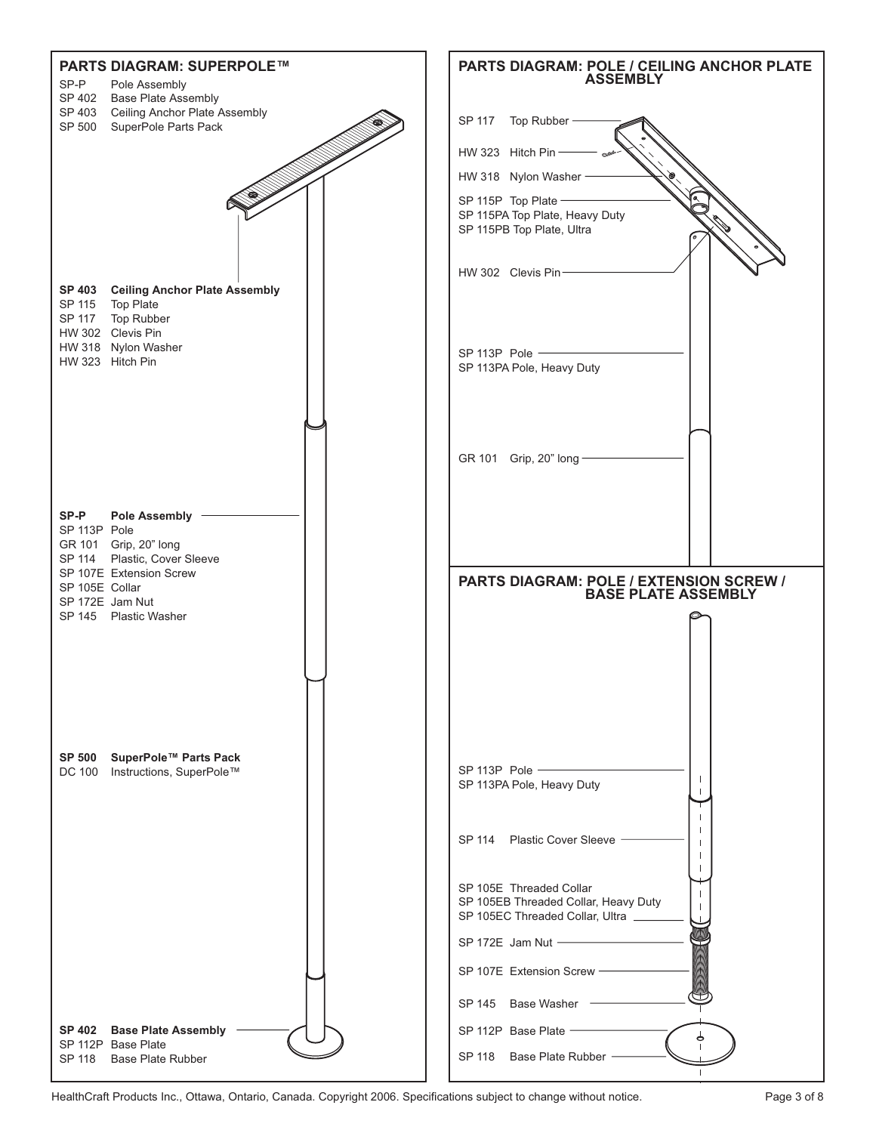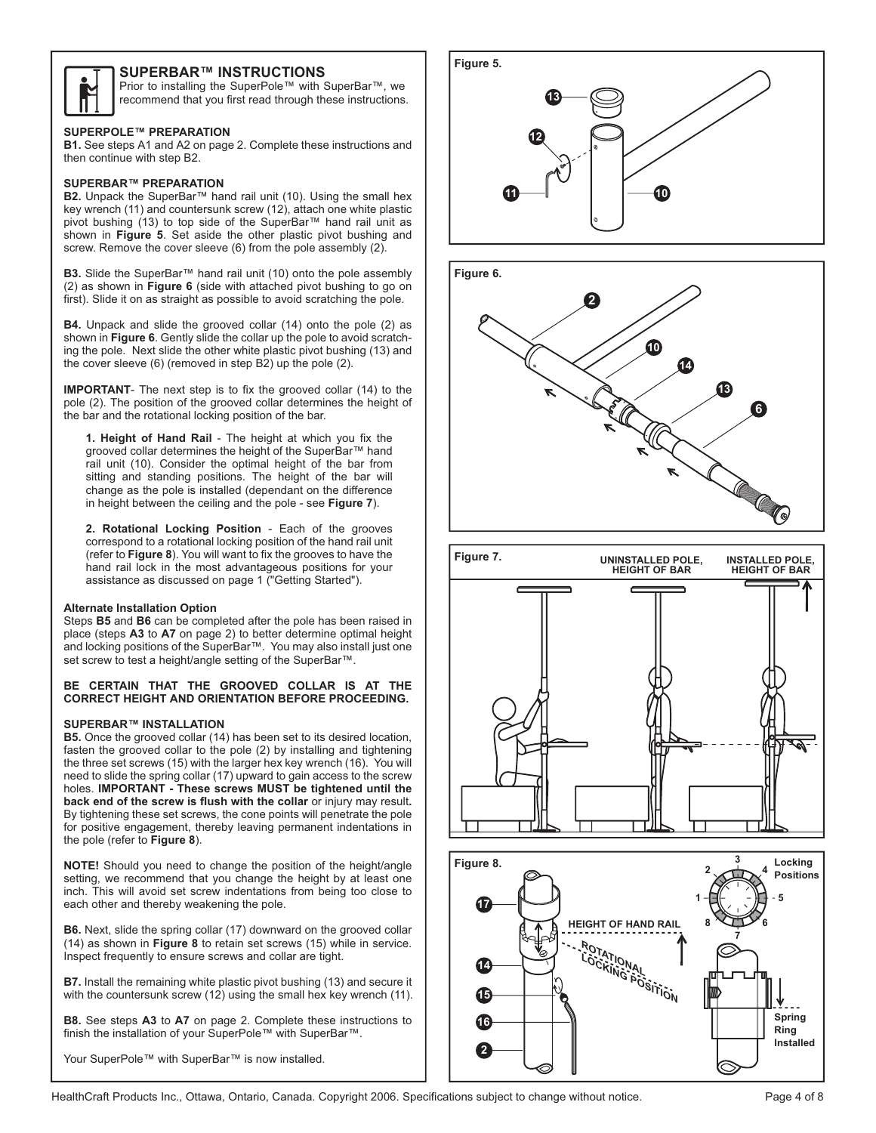

# **SUPERBAR™ INSTRUCTIONS**

Prior to installing the SuperPole™ with SuperBar™, we recommend that you first read through these instructions.

#### **SUPERPOLE™ PREPARATION**

**B1.** See steps A1 and A2 on page 2. Complete these instructions and then continue with step B2.

# **SUPERBAR™ PREPARATION**

**B2.** Unpack the SuperBar<sup>™</sup> hand rail unit (10). Using the small hex key wrench (11) and countersunk screw (12), attach one white plastic pivot bushing (13) to top side of the SuperBar™ hand rail unit as shown in **Figure 5**. Set aside the other plastic pivot bushing and screw. Remove the cover sleeve (6) from the pole assembly (2).

**B3.** Slide the SuperBar™ hand rail unit (10) onto the pole assembly (2) as shown in **Figure 6** (side with attached pivot bushing to go on first). Slide it on as straight as possible to avoid scratching the pole.

**B4.** Unpack and slide the grooved collar (14) onto the pole (2) as shown in **Figure 6**. Gently slide the collar up the pole to avoid scratching the pole. Next slide the other white plastic pivot bushing (13) and the cover sleeve (6) (removed in step B2) up the pole (2).

**IMPORTANT**- The next step is to fix the grooved collar (14) to the pole (2). The position of the grooved collar determines the height of the bar and the rotational locking position of the bar.

**1. Height of Hand Rail** - The height at which you fix the grooved collar determines the height of the SuperBar™ hand rail unit (10). Consider the optimal height of the bar from sitting and standing positions. The height of the bar will change as the pole is installed (dependant on the difference in height between the ceiling and the pole - see **Figure 7**).

**2. Rotational Locking Position** - Each of the grooves correspond to a rotational locking position of the hand rail unit (refer to **Figure 8**). You will want to fix the grooves to have the hand rail lock in the most advantageous positions for your assistance as discussed on page 1 ("Getting Started").

#### **Alternate Installation Option**

Steps **B5** and **B6** can be completed after the pole has been raised in place (steps **A3** to **A7** on page 2) to better determine optimal height and locking positions of the SuperBar™. You may also install just one set screw to test a height/angle setting of the SuperBar™.

#### **BE CERTAIN THAT THE GROOVED COLLAR IS AT THE CORRECT HEIGHT AND ORIENTATION BEFORE PROCEEDING.**

#### **SUPERBAR™ INSTALLATION**

**B5.** Once the grooved collar (14) has been set to its desired location, fasten the grooved collar to the pole (2) by installing and tightening the three set screws (15) with the larger hex key wrench (16). You will need to slide the spring collar (17) upward to gain access to the screw holes. **IMPORTANT - These screws MUST be tightened until the back end of the screw is flush with the collar** or injury may result**.**  By tightening these set screws, the cone points will penetrate the pole for positive engagement, thereby leaving permanent indentations in the pole (refer to **Figure 8**).

**NOTE!** Should you need to change the position of the height/angle setting, we recommend that you change the height by at least one inch. This will avoid set screw indentations from being too close to each other and thereby weakening the pole.

**B6.** Next, slide the spring collar (17) downward on the grooved collar (14) as shown in **Figure 8** to retain set screws (15) while in service. Inspect frequently to ensure screws and collar are tight.

**B7.** Install the remaining white plastic pivot bushing (13) and secure it with the countersunk screw (12) using the small hex key wrench (11).

**B8.** See steps **A3** to **A7** on page 2. Complete these instructions to finish the installation of your SuperPole™ with SuperBar™.

Your SuperPole™ with SuperBar™ is now installed.







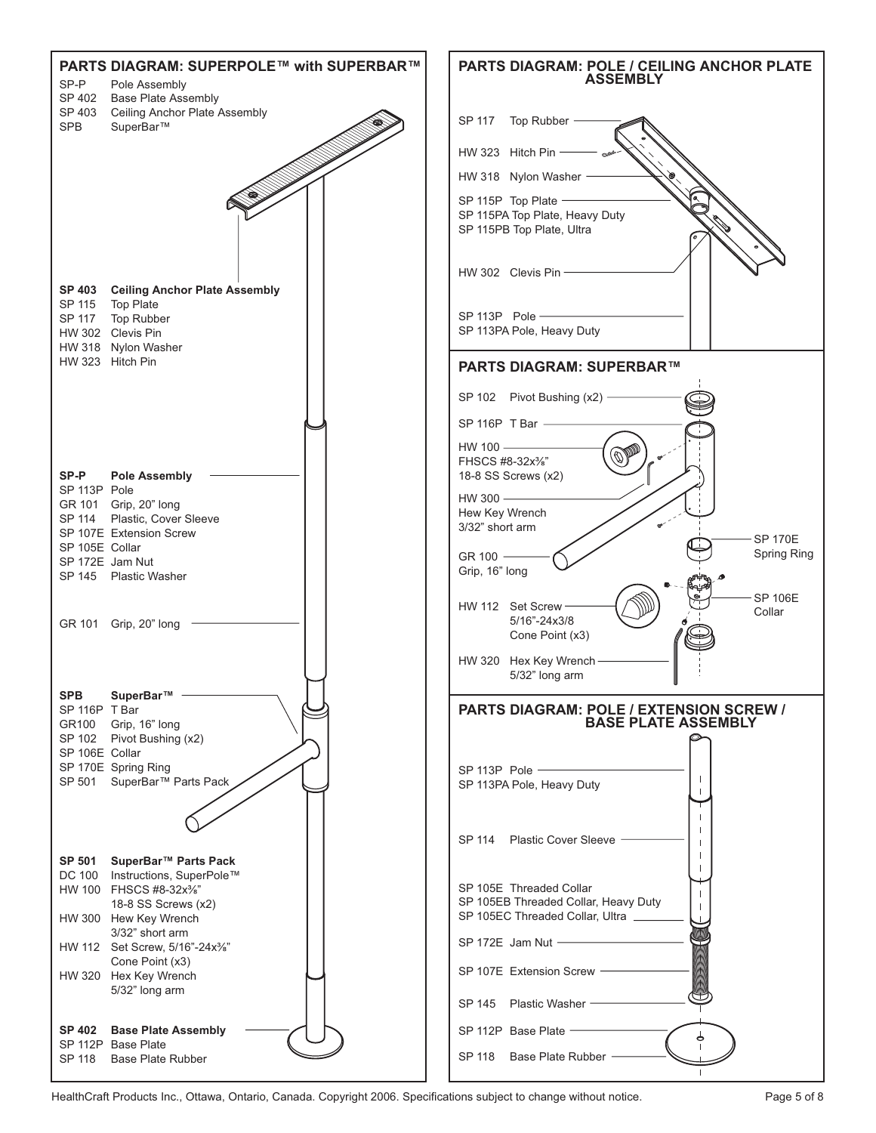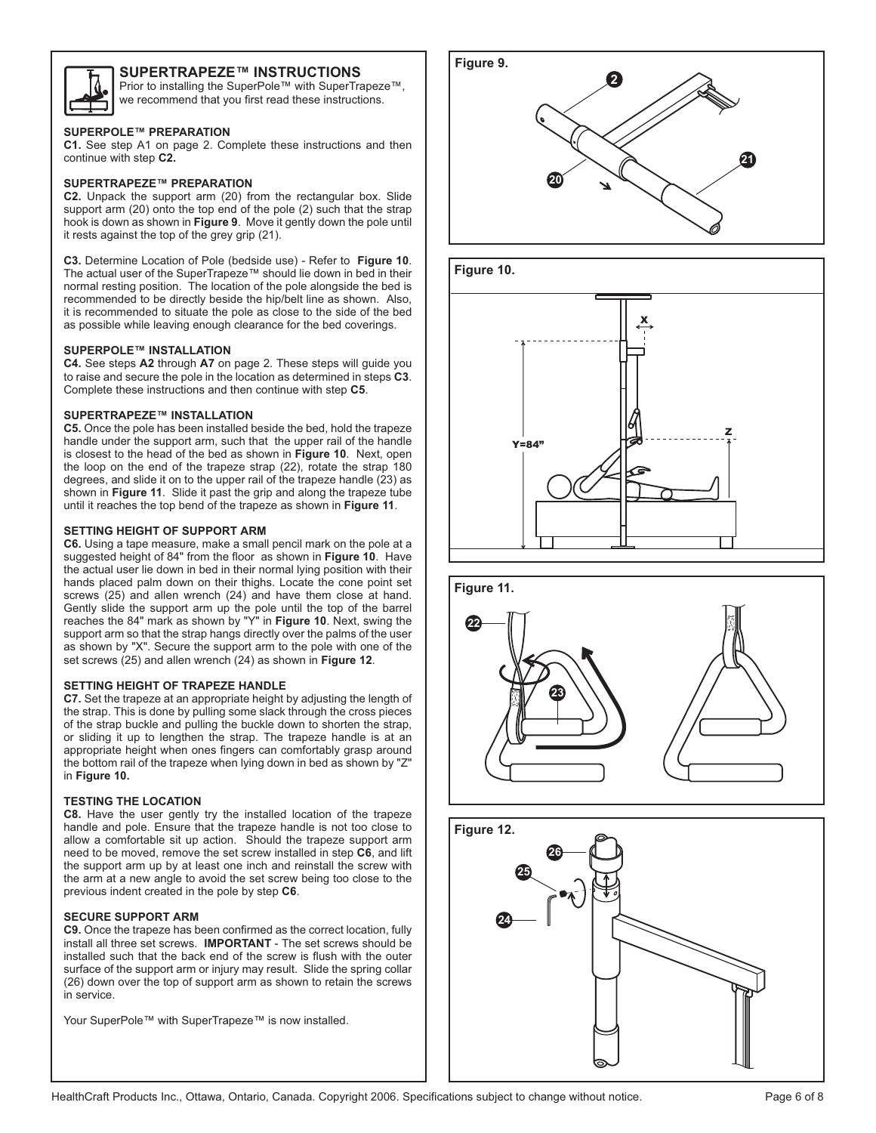

# **SUPERTRAPEZE™ INSTRUCTIONS**

Prior to installing the SuperPole™ with SuperTrapeze™, we recommend that you first read these instructions.

### **SUPERPOLE™ PREPARATION**

**C1.** See step A1 on page 2. Complete these instructions and then continue with step **C2.**

# **SUPERTRAPEZE™ PREPARATION**

**C2.** Unpack the support arm (20) from the rectangular box. Slide support arm (20) onto the top end of the pole (2) such that the strap hook is down as shown in **Figure 9**. Move it gently down the pole until it rests against the top of the grey grip (21).

**C3.** Determine Location of Pole (bedside use) - Refer to **Figure 10**. The actual user of the SuperTrapeze™ should lie down in bed in their normal resting position. The location of the pole alongside the bed is recommended to be directly beside the hip/belt line as shown. Also, it is recommended to situate the pole as close to the side of the bed as possible while leaving enough clearance for the bed coverings.

# **SUPERPOLE™ INSTALLATION**

**C4.** See steps **A2** through **A7** on page 2. These steps will guide you to raise and secure the pole in the location as determined in steps **C3**. Complete these instructions and then continue with step **C5**.

# **SUPERTRAPEZE™ INSTALLATION**

**C5.** Once the pole has been installed beside the bed, hold the trapeze handle under the support arm, such that the upper rail of the handle is closest to the head of the bed as shown in **Figure 10**. Next, open the loop on the end of the trapeze strap (22), rotate the strap 180 degrees, and slide it on to the upper rail of the trapeze handle (23) as shown in **Figure 11**. Slide it past the grip and along the trapeze tube until it reaches the top bend of the trapeze as shown in **Figure 11**.

# **SETTING HEIGHT OF SUPPORT ARM**

**C6.** Using a tape measure, make a small pencil mark on the pole at a suggested height of 84" from the floor as shown in **Figure 10**. Have the actual user lie down in bed in their normal lying position with their hands placed palm down on their thighs. Locate the cone point set screws (25) and allen wrench (24) and have them close at hand. Gently slide the support arm up the pole until the top of the barrel reaches the 84" mark as shown by "Y" in **Figure 10**. Next, swing the support arm so that the strap hangs directly over the palms of the user as shown by "X". Secure the support arm to the pole with one of the set screws (25) and allen wrench (24) as shown in **Figure 12**.

# **SETTING HEIGHT OF TRAPEZE HANDLE**

**C7.** Set the trapeze at an appropriate height by adjusting the length of the strap. This is done by pulling some slack through the cross pieces of the strap buckle and pulling the buckle down to shorten the strap, or sliding it up to lengthen the strap. The trapeze handle is at an appropriate height when ones fingers can comfortably grasp around the bottom rail of the trapeze when lying down in bed as shown by "Z" in **Figure 10.**

# **TESTING THE LOCATION**

**C8.** Have the user gently try the installed location of the trapeze handle and pole. Ensure that the trapeze handle is not too close to allow a comfortable sit up action. Should the trapeze support arm need to be moved, remove the set screw installed in step **C6**, and lift the support arm up by at least one inch and reinstall the screw with the arm at a new angle to avoid the set screw being too close to the previous indent created in the pole by step **C6**.

### **SECURE SUPPORT ARM**

**C9.** Once the trapeze has been confirmed as the correct location, fully install all three set screws. **IMPORTANT** - The set screws should be installed such that the back end of the screw is flush with the outer surface of the support arm or injury may result. Slide the spring collar (26) down over the top of support arm as shown to retain the screws in service.

Your SuperPole™ with SuperTrapeze™ is now installed.







# **Figure 11.**



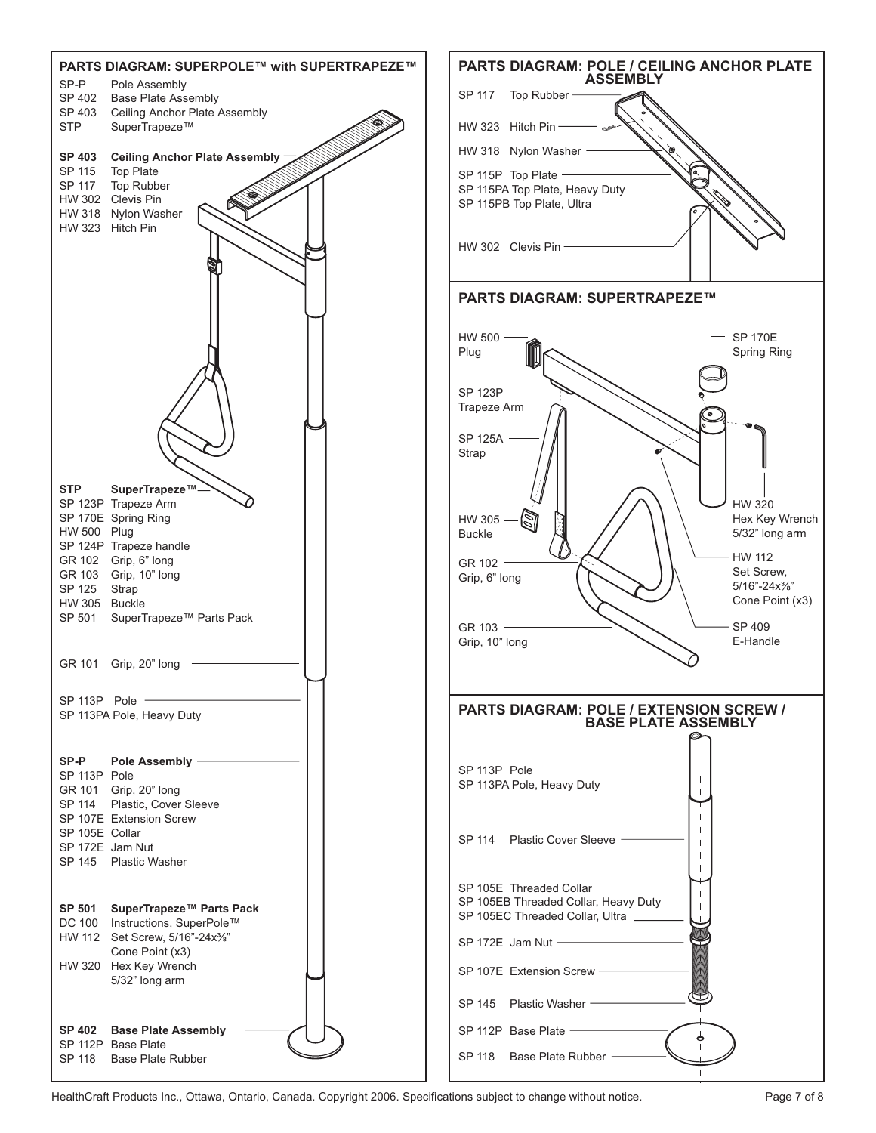